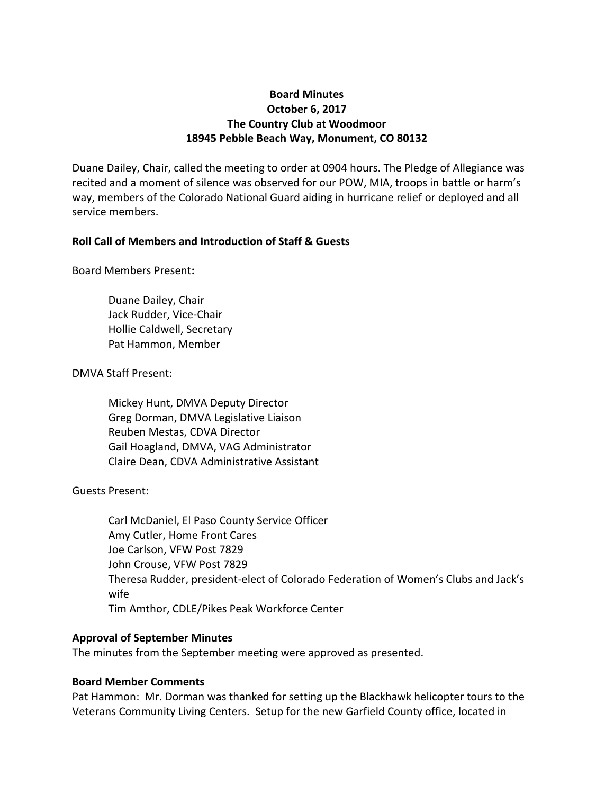# **Board Minutes October 6, 2017 The Country Club at Woodmoor 18945 Pebble Beach Way, Monument, CO 80132**

Duane Dailey, Chair, called the meeting to order at 0904 hours. The Pledge of Allegiance was recited and a moment of silence was observed for our POW, MIA, troops in battle or harm's way, members of the Colorado National Guard aiding in hurricane relief or deployed and all service members.

# **Roll Call of Members and Introduction of Staff & Guests**

Board Members Present**:**

Duane Dailey, Chair Jack Rudder, Vice-Chair Hollie Caldwell, Secretary Pat Hammon, Member

# DMVA Staff Present:

Mickey Hunt, DMVA Deputy Director Greg Dorman, DMVA Legislative Liaison Reuben Mestas, CDVA Director Gail Hoagland, DMVA, VAG Administrator Claire Dean, CDVA Administrative Assistant

Guests Present:

Carl McDaniel, El Paso County Service Officer Amy Cutler, Home Front Cares Joe Carlson, VFW Post 7829 John Crouse, VFW Post 7829 Theresa Rudder, president-elect of Colorado Federation of Women's Clubs and Jack's wife Tim Amthor, CDLE/Pikes Peak Workforce Center

# **Approval of September Minutes**

The minutes from the September meeting were approved as presented.

# **Board Member Comments**

Pat Hammon: Mr. Dorman was thanked for setting up the Blackhawk helicopter tours to the Veterans Community Living Centers. Setup for the new Garfield County office, located in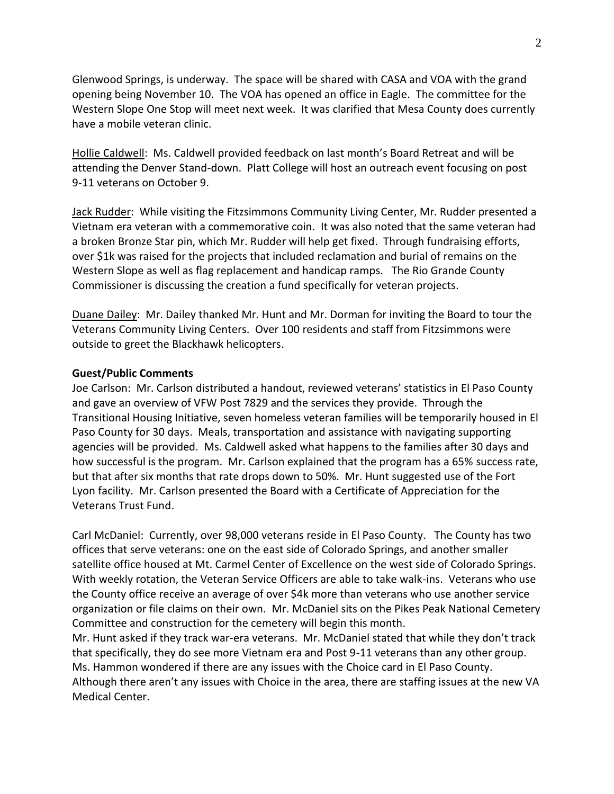Glenwood Springs, is underway. The space will be shared with CASA and VOA with the grand opening being November 10. The VOA has opened an office in Eagle. The committee for the Western Slope One Stop will meet next week. It was clarified that Mesa County does currently have a mobile veteran clinic.

Hollie Caldwell: Ms. Caldwell provided feedback on last month's Board Retreat and will be attending the Denver Stand-down. Platt College will host an outreach event focusing on post 9-11 veterans on October 9.

Jack Rudder: While visiting the Fitzsimmons Community Living Center, Mr. Rudder presented a Vietnam era veteran with a commemorative coin. It was also noted that the same veteran had a broken Bronze Star pin, which Mr. Rudder will help get fixed. Through fundraising efforts, over \$1k was raised for the projects that included reclamation and burial of remains on the Western Slope as well as flag replacement and handicap ramps. The Rio Grande County Commissioner is discussing the creation a fund specifically for veteran projects.

Duane Dailey: Mr. Dailey thanked Mr. Hunt and Mr. Dorman for inviting the Board to tour the Veterans Community Living Centers. Over 100 residents and staff from Fitzsimmons were outside to greet the Blackhawk helicopters.

#### **Guest/Public Comments**

Joe Carlson: Mr. Carlson distributed a handout, reviewed veterans' statistics in El Paso County and gave an overview of VFW Post 7829 and the services they provide. Through the Transitional Housing Initiative, seven homeless veteran families will be temporarily housed in El Paso County for 30 days. Meals, transportation and assistance with navigating supporting agencies will be provided. Ms. Caldwell asked what happens to the families after 30 days and how successful is the program. Mr. Carlson explained that the program has a 65% success rate, but that after six months that rate drops down to 50%. Mr. Hunt suggested use of the Fort Lyon facility. Mr. Carlson presented the Board with a Certificate of Appreciation for the Veterans Trust Fund.

Carl McDaniel: Currently, over 98,000 veterans reside in El Paso County. The County has two offices that serve veterans: one on the east side of Colorado Springs, and another smaller satellite office housed at Mt. Carmel Center of Excellence on the west side of Colorado Springs. With weekly rotation, the Veteran Service Officers are able to take walk-ins. Veterans who use the County office receive an average of over \$4k more than veterans who use another service organization or file claims on their own. Mr. McDaniel sits on the Pikes Peak National Cemetery Committee and construction for the cemetery will begin this month.

Mr. Hunt asked if they track war-era veterans. Mr. McDaniel stated that while they don't track that specifically, they do see more Vietnam era and Post 9-11 veterans than any other group. Ms. Hammon wondered if there are any issues with the Choice card in El Paso County. Although there aren't any issues with Choice in the area, there are staffing issues at the new VA Medical Center.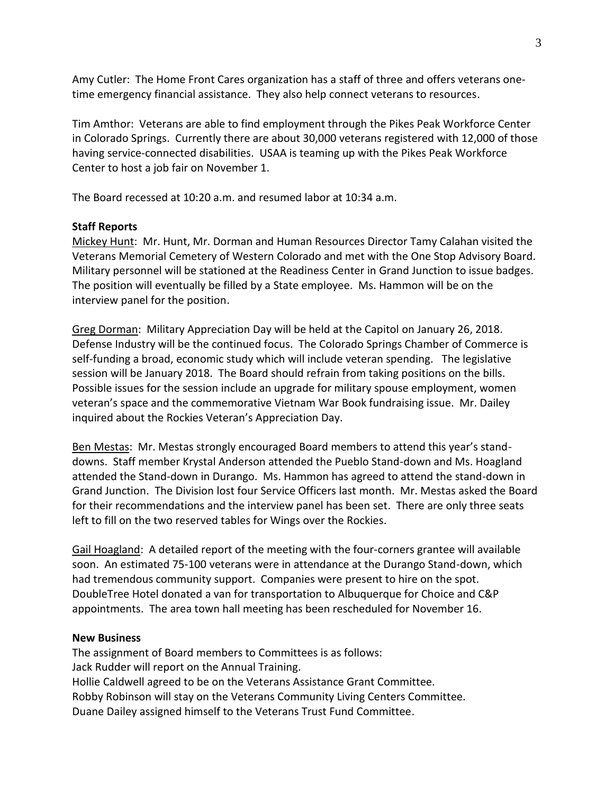Amy Cutler: The Home Front Cares organization has a staff of three and offers veterans onetime emergency financial assistance. They also help connect veterans to resources.

Tim Amthor: Veterans are able to find employment through the Pikes Peak Workforce Center in Colorado Springs. Currently there are about 30,000 veterans registered with 12,000 of those having service-connected disabilities. USAA is teaming up with the Pikes Peak Workforce Center to host a job fair on November 1.

The Board recessed at 10:20 a.m. and resumed labor at 10:34 a.m.

### **Staff Reports**

Mickey Hunt: Mr. Hunt, Mr. Dorman and Human Resources Director Tamy Calahan visited the Veterans Memorial Cemetery of Western Colorado and met with the One Stop Advisory Board. Military personnel will be stationed at the Readiness Center in Grand Junction to issue badges. The position will eventually be filled by a State employee. Ms. Hammon will be on the interview panel for the position.

Greg Dorman: Military Appreciation Day will be held at the Capitol on January 26, 2018. Defense Industry will be the continued focus. The Colorado Springs Chamber of Commerce is self-funding a broad, economic study which will include veteran spending. The legislative session will be January 2018. The Board should refrain from taking positions on the bills. Possible issues for the session include an upgrade for military spouse employment, women veteran's space and the commemorative Vietnam War Book fundraising issue. Mr. Dailey inquired about the Rockies Veteran's Appreciation Day.

Ben Mestas: Mr. Mestas strongly encouraged Board members to attend this year's standdowns. Staff member Krystal Anderson attended the Pueblo Stand-down and Ms. Hoagland attended the Stand-down in Durango. Ms. Hammon has agreed to attend the stand-down in Grand Junction. The Division lost four Service Officers last month. Mr. Mestas asked the Board for their recommendations and the interview panel has been set. There are only three seats left to fill on the two reserved tables for Wings over the Rockies.

Gail Hoagland: A detailed report of the meeting with the four-corners grantee will available soon. An estimated 75-100 veterans were in attendance at the Durango Stand-down, which had tremendous community support. Companies were present to hire on the spot. DoubleTree Hotel donated a van for transportation to Albuquerque for Choice and C&P appointments. The area town hall meeting has been rescheduled for November 16.

#### **New Business**

The assignment of Board members to Committees is as follows: Jack Rudder will report on the Annual Training. Hollie Caldwell agreed to be on the Veterans Assistance Grant Committee. Robby Robinson will stay on the Veterans Community Living Centers Committee. Duane Dailey assigned himself to the Veterans Trust Fund Committee.